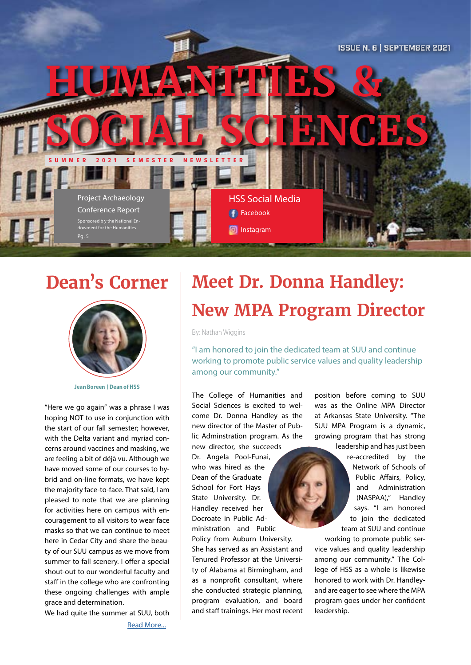

## **Dean's Corner**



**Jean Boreen | Dean of HSS**

"Here we go again" was a phrase I was hoping NOT to use in conjunction with the start of our fall semester; however, with the Delta variant and myriad concerns around vaccines and masking, we are feeling a bit of déjà vu. Although we have moved some of our courses to hybrid and on-line formats, we have kept the majority face-to-face. That said, I am pleased to note that we are planning for activities here on campus with encouragement to all visitors to wear face masks so that we can continue to meet here in Cedar City and share the beauty of our SUU campus as we move from summer to fall scenery. I offer a special shout-out to our wonderful faculty and staff in the college who are confronting these ongoing challenges with ample grace and determination.

We had quite the summer at SUU, both

[Read More...](https://drive.google.com/file/d/1MNBsNUG1UkMHqHjPvFaXM9bh_3zulM8J/view?usp=sharing)

# **Meet Dr. Donna Handley: New MPA Program Director**

By: Nathan Wiggins

"I am honored to join the dedicated team at SUU and continue working to promote public service values and quality leadership among our community."

The College of Humanities and Social Sciences is excited to welcome Dr. Donna Handley as the new director of the Master of Public Adminstration program. As the new director, she succeeds Dr. Angela Pool-Funai, who was hired as the Dean of the Graduate School for Fort Hays State University. Dr. Handley received her Docroate in Public Administration and Public Policy from Auburn University. She has served as an Assistant and Tenured Professor at the University of Alabama at Birmingham, and as a nonprofit consultant, where she conducted strategic planning, program evaluation, and board and staff trainings. Her most recent

position before coming to SUU was as the Online MPA Director at Arkansas State University. "The SUU MPA Program is a dynamic, growing program that has strong leadership and has just been

re-accredited by the Network of Schools of Public Affairs, Policy, and Administration (NASPAA)," Handley says. "I am honored to join the dedicated team at SUU and continue working to promote public ser-

vice values and quality leadership among our community." The College of HSS as a whole is likewise honored to work with Dr. Handleyand are eager to see where the MPA program goes under her confident leadership.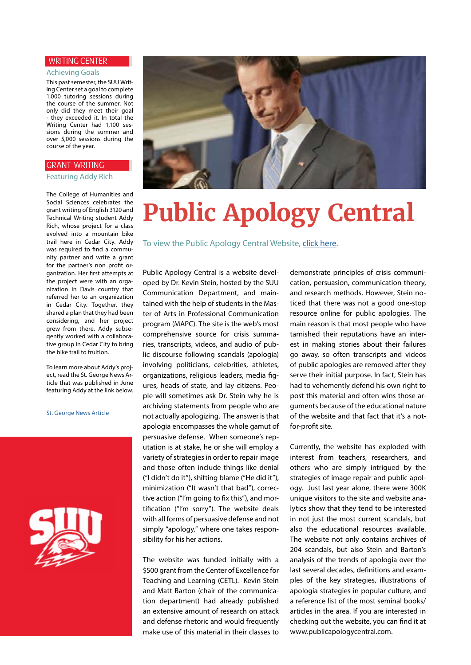#### WRITING CENTER

#### Achieving Goals

This past semester, the SUU Writing Center set a goal to complete 1,000 tutoring sessions during the course of the summer. Not only did they meet their goal - they exceeded it. In total the Writing Center had 1,100 sessions during the summer and over 5,000 sessions during the course of the year.

#### GRANT WRITING

Featuring Addy Rich

The College of Humanities and Social Sciences celebrates the grant writing of English 3120 and Technical Writing student Addy Rich, whose project for a class evolved into a mountain bike trail here in Cedar City. Addy was required to find a community partner and write a grant for the partner's non profit organization. Her first attempts at the project were with an organization in Davis country that referred her to an organization in Cedar City. Together, they shared a plan that they had been considering, and her project grew from there. Addy subseqently worked with a collaborative group in Cedar City to bring the bike trail to fruition.

To learn more about Addy's project, read the St. George News Article that was published in June featuring Addy at the link below.

[St. George News Article](https://www.stgeorgeutah.com/news/archive/2021/06/11/jmr-4-new-mountain-biking-trails-skills-park-unveiled-south-of-cedar-city/#.YTEphrVKiUk)





# **Public Apology Central**.

To view the Public Apology Central Website, [click here](http://www.publicapologycentral.com).

Public Apology Central is a website developed by Dr. Kevin Stein, hosted by the SUU Communication Department, and maintained with the help of students in the Master of Arts in Professional Communication program (MAPC). The site is the web's most comprehensive source for crisis summaries, transcripts, videos, and audio of public discourse following scandals (apologia) involving politicians, celebrities, athletes, organizations, religious leaders, media figures, heads of state, and lay citizens. People will sometimes ask Dr. Stein why he is archiving statements from people who are not actually apologizing. The answer is that apologia encompasses the whole gamut of persuasive defense. When someone's reputation is at stake, he or she will employ a variety of strategies in order to repair image and those often include things like denial ("I didn't do it"), shifting blame ("He did it"), minimization ("It wasn't that bad"), corrective action ("I'm going to fix this"), and mortification ("I'm sorry"). The website deals with all forms of persuasive defense and not simply "apology," where one takes responsibility for his her actions.

The website was funded initially with a \$500 grant from the Center of Excellence for Teaching and Learning (CETL). Kevin Stein and Matt Barton (chair of the communication department) had already published an extensive amount of research on attack and defense rhetoric and would frequently make use of this material in their classes to

demonstrate principles of crisis communication, persuasion, communication theory, and research methods. However, Stein noticed that there was not a good one-stop resource online for public apologies. The main reason is that most people who have tarnished their reputations have an interest in making stories about their failures go away, so often transcripts and videos of public apologies are removed after they serve their initial purpose. In fact, Stein has had to vehemently defend his own right to post this material and often wins those arguments because of the educational nature of the website and that fact that it's a notfor-profit site.

Currently, the website has exploded with interest from teachers, researchers, and others who are simply intrigued by the strategies of image repair and public apology. Just last year alone, there were 300K unique visitors to the site and website analytics show that they tend to be interested in not just the most current scandals, but also the educational resources available. The website not only contains archives of 204 scandals, but also Stein and Barton's analysis of the trends of apologia over the last several decades, definitions and examples of the key strategies, illustrations of apologia strategies in popular culture, and a reference list of the most seminal books/ articles in the area. If you are interested in checking out the website, you can find it at www.publicapologycentral.com.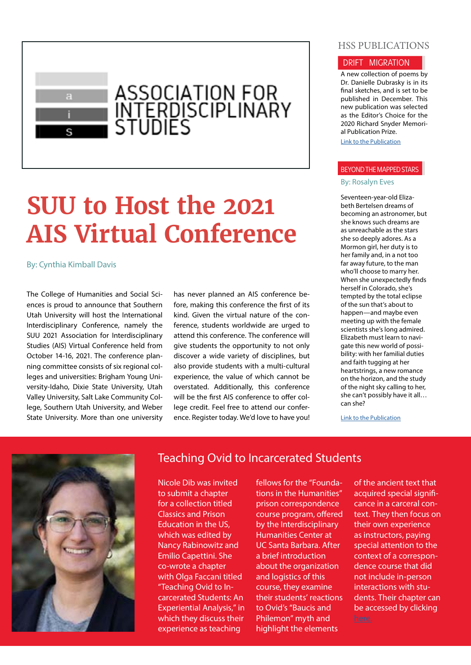

# **SUU to Host the 2021 AIS Virtual Conference**

By: Cynthia Kimball Davis

The College of Humanities and Social Sciences is proud to announce that Southern Utah University will host the International Interdisciplinary Conference, namely the SUU 2021 Association for Interdisciplinary Studies (AIS) Virtual Conference held from October 14-16, 2021. The conference planning committee consists of six regional colleges and universities: Brigham Young University-Idaho, Dixie State University, Utah Valley University, Salt Lake Community College, Southern Utah University, and Weber State University. More than one university

has never planned an AIS conference before, making this conference the first of its kind. Given the virtual nature of the conference, students worldwide are urged to attend this conference. The conference will give students the opportunity to not only discover a wide variety of disciplines, but also provide students with a multi-cultural experience, the value of which cannot be overstated. Additionally, this conference will be the first AIS conference to offer college credit. Feel free to attend our conference. Register today. We'd love to have you!

#### HSS PUBLICATIONS

#### DRIFT MIGRATION

A new collection of poems by Dr. Danielle Dubrasky is in its final sketches, and is set to be published in December. This new publication was selected as the Editor's Choice for the 2020 Richard Snyder Memorial Publication Prize.

[Link to the Publication](https://books.google.com/books/about/Drift_Migration.html?id=IEaBzgEACAAJ)

#### BEYOND THE MAPPED STARS

#### By: Rosalyn Eves

Seventeen-year-old Elizabeth Bertelsen dreams of becoming an astronomer, but she knows such dreams are as unreachable as the stars she so deeply adores. As a Mormon girl, her duty is to her family and, in a not too far away future, to the man who'll choose to marry her. When she unexpectedly finds herself in Colorado, she's tempted by the total eclipse of the sun that's about to happen—and maybe even meeting up with the female scientists she's long admired. Elizabeth must learn to navigate this new world of possibility: with her familial duties and faith tugging at her heartstrings, a new romance on the horizon, and the study of the night sky calling to her, she can't possibly have it all… can she?

[Link to the Publication](https://www.amazon.com/Beyond-Mapped-Stars-Rosalyn-Eves/dp/1984849557)



#### Teaching Ovid to Incarcerated Students

Nicole Dib was invited to submit a chapter for a collection titled Classics and Prison Education in the US, which was edited by Nancy Rabinowitz and Emilio Capettini. She co-wrote a chapter with Olga Faccani titled "Teaching Ovid to Incarcerated Students: An Experiential Analysis," in which they discuss their experience as teaching

fellows for the "Foundations in the Humanities" prison correspondence course program, offered by the Interdisciplinary Humanities Center at UC Santa Barbara. After a brief introduction about the organization and logistics of this course, they examine their students' reactions to Ovid's "Baucis and Philemon" myth and highlight the elements

of the ancient text that acquired special significance in a carceral context. They then focus on their own experience as instructors, paying special attention to the context of a correspondence course that did not include in-person interactions with students. Their chapter can be accessed by clicking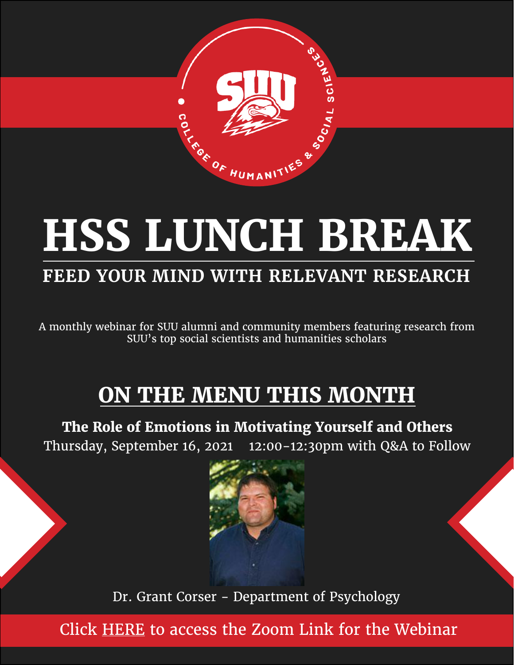

# **HSS LUNCH BREAK**

# **FEED YOUR MIND WITH RELEVANT RESEARCH**

A monthly webinar for SUU alumni and community members featuring research from SUU's top social scientists and humanities scholars

# **ON THE MENU THIS MONTH**

**The Role of Emotions in Motivating Yourself and Others** Thursday, September 16, 2021 12:00-12:30pm with Q&A to Follow



Dr. Grant Corser - Department of Psychology

Click [HERE](https://suu-edu.zoom.us/j/95153955049) to access the Zoom Link for the Webinar